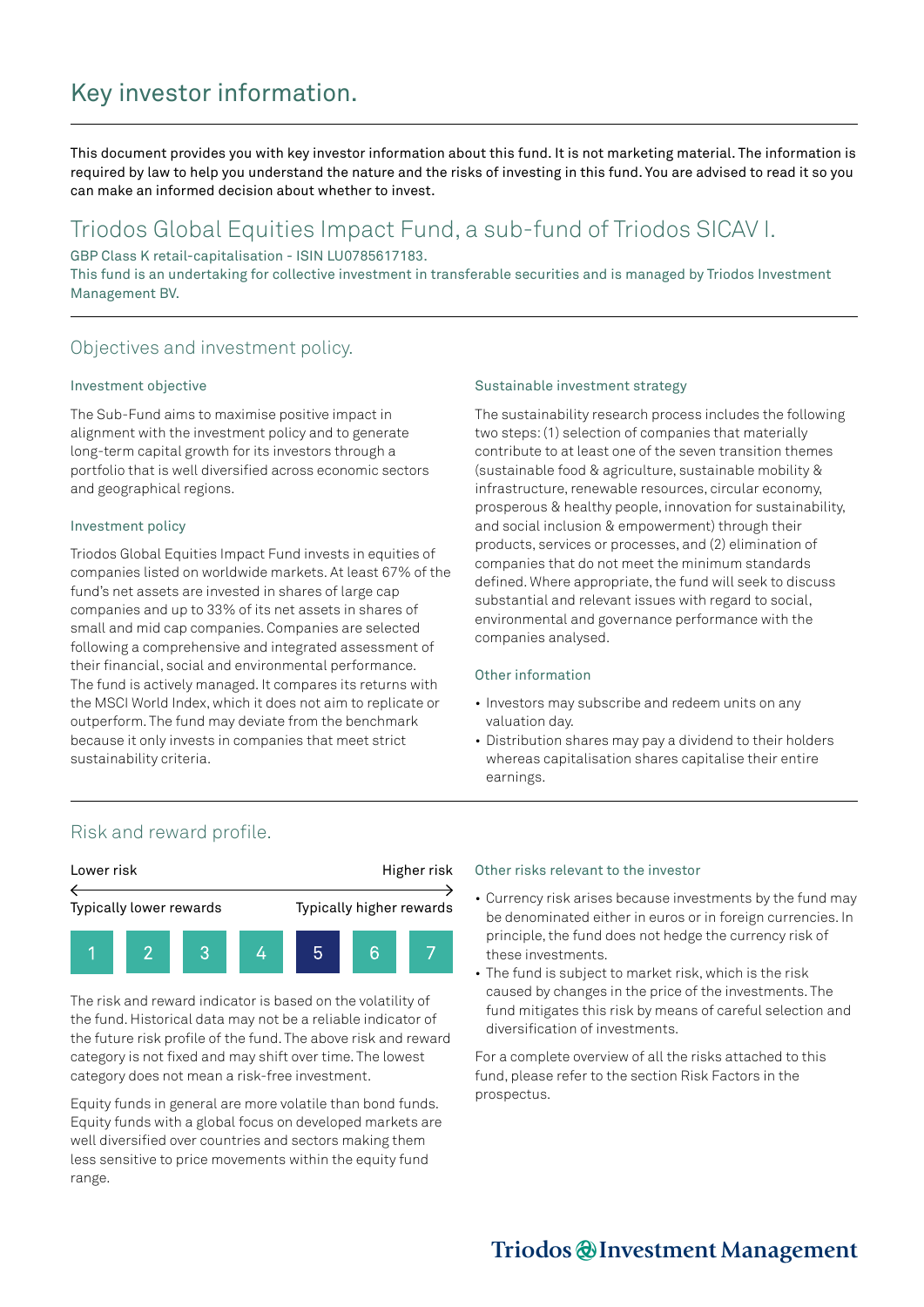# Key investor information.

This document provides you with key investor information about this fund. It is not marketing material. The information is required by law to help you understand the nature and the risks of investing in this fund. You are advised to read it so you can make an informed decision about whether to invest.

## Triodos Global Equities Impact Fund, a sub-fund of Triodos SICAV I.

GBP Class K retail-capitalisation - ISIN LU0785617183.

This fund is an undertaking for collective investment in transferable securities and is managed by Triodos Investment Management BV.

### Objectives and investment policy.

#### Investment objective

The Sub-Fund aims to maximise positive impact in alignment with the investment policy and to generate long-term capital growth for its investors through a portfolio that is well diversified across economic sectors and geographical regions.

#### Investment policy

Triodos Global Equities Impact Fund invests in equities of companies listed on worldwide markets. At least 67% of the fund's net assets are invested in shares of large cap companies and up to 33% of its net assets in shares of small and mid cap companies. Companies are selected following a comprehensive and integrated assessment of their financial, social and environmental performance. The fund is actively managed. It compares its returns with the MSCI World Index, which it does not aim to replicate or outperform. The fund may deviate from the benchmark because it only invests in companies that meet strict sustainability criteria.

#### Sustainable investment strategy

The sustainability research process includes the following two steps: (1) selection of companies that materially contribute to at least one of the seven transition themes (sustainable food & agriculture, sustainable mobility & infrastructure, renewable resources, circular economy, prosperous & healthy people, innovation for sustainability, and social inclusion & empowerment) through their products, services or processes, and (2) elimination of companies that do not meet the minimum standards defined. Where appropriate, the fund will seek to discuss substantial and relevant issues with regard to social, environmental and governance performance with the companies analysed.

#### Other information

- Investors may subscribe and redeem units on any valuation day.
- Distribution shares may pay a dividend to their holders whereas capitalisation shares capitalise their entire earnings.

### Risk and reward profile.



The risk and reward indicator is based on the volatility of the fund. Historical data may not be a reliable indicator of the future risk profile of the fund. The above risk and reward category is not fixed and may shift over time. The lowest category does not mean a risk-free investment.

Equity funds in general are more volatile than bond funds. Equity funds with a global focus on developed markets are well diversified over countries and sectors making them less sensitive to price movements within the equity fund range.

#### Other risks relevant to the investor

- Currency risk arises because investments by the fund may be denominated either in euros or in foreign currencies. In principle, the fund does not hedge the currency risk of these investments.
- The fund is subject to market risk, which is the risk caused by changes in the price of the investments. The fund mitigates this risk by means of careful selection and diversification of investments.

For a complete overview of all the risks attached to this fund, please refer to the section Risk Factors in the prospectus.

## Triodos @Investment Management